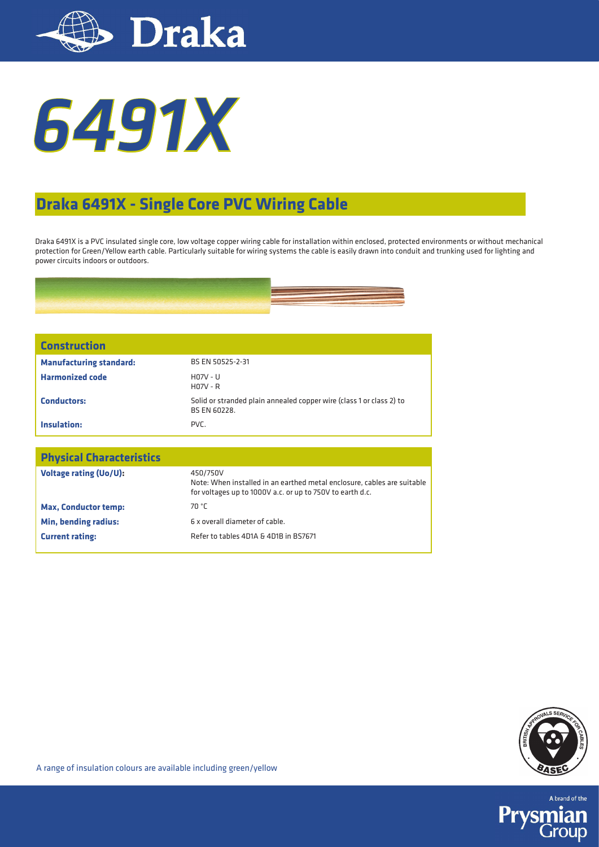



## **Draka 6491X - Single Core PVC Wiring Cable**

Draka 6491X is a PVC insulated single core, low voltage copper wiring cable for installation within enclosed, protected environments or without mechanical protection for Green/Yellow earth cable. Particularly suitable for wiring systems the cable is easily drawn into conduit and trunking used for lighting and power circuits indoors or outdoors.



| <b>Construction</b>            |                                                                                      |
|--------------------------------|--------------------------------------------------------------------------------------|
| <b>Manufacturing standard:</b> | BS EN 50525-2-31                                                                     |
| <b>Harmonized code</b>         | $H07V - U$<br>$H07V - R$                                                             |
| <b>Conductors:</b>             | Solid or stranded plain annealed copper wire (class 1 or class 2) to<br>BS EN 60228. |
| Insulation:                    | PVC.                                                                                 |

| <b>Physical Characteristics</b> |                                                                                                                                                  |
|---------------------------------|--------------------------------------------------------------------------------------------------------------------------------------------------|
| Voltage rating (Uo/U):          | 450/750V<br>Note: When installed in an earthed metal enclosure, cables are suitable<br>for voltages up to 1000V a.c. or up to 750V to earth d.c. |
| <b>Max, Conductor temp:</b>     | 70 °C                                                                                                                                            |
| Min, bending radius:            | 6 x overall diameter of cable.                                                                                                                   |
| <b>Current rating:</b>          | Refer to tables 4D1A & 4D1B in BS7671                                                                                                            |